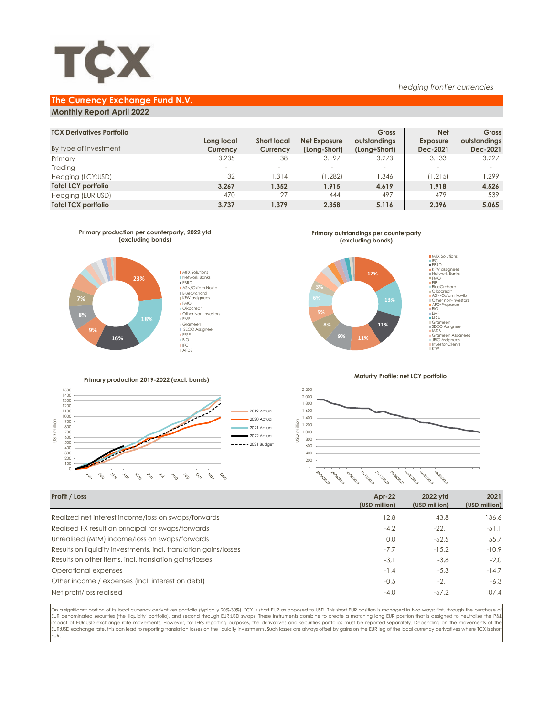

### **The Currency Exchange Fund N.V.**

### **Monthly Report April 2022**

| <b>TCX Derivatives Portfolio</b> |                          |                    |              | Gross        | <b>Net</b>               | Gross        |
|----------------------------------|--------------------------|--------------------|--------------|--------------|--------------------------|--------------|
|                                  | Long local               | <b>Short local</b> | Net Exposure | outstandings | <b>Exposure</b>          | outstandings |
| By type of investment            | Currency                 | Currency           | (Long-Short) | (Long+Short) | Dec-2021                 | Dec-2021     |
| Primary                          | 3.235                    | 38                 | 3.197        | 3.273        | 3.133                    | 3.227        |
| Trading                          | $\overline{\phantom{a}}$ |                    | $\sim$       |              | $\overline{\phantom{a}}$ |              |
| Hedging (LCY:USD)                | 32                       | 1.314              | (1.282)      | .346         | (1.215)                  | 1.299        |
| <b>Total LCY portfolio</b>       | 3.267                    | 1.352              | 1.915        | 4.619        | 1.918                    | 4.526        |
| Hedging (EUR:USD)                | 470                      | 27                 | 444          | 497          | 479                      | 539          |
| <b>Total TCX portfolio</b>       | 3.737                    | 1.379              | 2.358        | 5.116        | 2.396                    | 5.065        |
|                                  |                          |                    |              |              |                          |              |



**Primary outstandings per counterparty (excluding bonds)**



**Primary production 2019-2022 (excl. bonds)**



**Maturity Profile: net LCY portfolio**

*hedging frontier currencies*



| Profit / Loss                                                    | $Ar-22$<br>(USD million) | 2022 vtd<br>(USD million) | 2021<br>(USD million) |
|------------------------------------------------------------------|--------------------------|---------------------------|-----------------------|
| Realized net interest income/loss on swaps/forwards              | 12.8                     | 43.8                      | 136.6                 |
| Realised FX result on principal for swaps/forwards               | $-4,2$                   | $-22.1$                   | $-51.1$               |
| Unrealised (MtM) income/loss on swaps/forwards                   | 0.0                      | $-52.5$                   | 55.7                  |
| Results on liquidity investments, incl. translation gains/losses | $-7.7$                   | $-15.2$                   | $-10.9$               |
| Results on other items, incl. translation gains/losses           | $-3,1$                   | $-3.8$                    | $-2.0$                |
| Operational expenses                                             | $-1.4$                   | $-5.3$                    | $-14.7$               |
| Other income / expenses (incl. interest on debt)                 | $-0,5$                   | $-2.1$                    | $-6,3$                |
| Net profit/loss realised                                         | $-4,0$                   | $-57.2$                   | 107.4                 |

On a significant portion of its local currency derivatives portfolio (typically 20%-30%), TCX is short EUR as opposed to USD. This short EUR position is managed in two ways: first, through the purchase of EUR denominated securities (the 'liquidity' portfolio), and second through EUR:USD swaps. These instruments combine to create a matching long EUR position that is designed to neutralize the P&L impact of EUR:USD exchange rate movements. However, for IFRS reporting purposes, the derivatives and securities portfolios must be reported separately. Depending on the movements of the EUR:USD exchange rate, this can lead to reporting translation losses on the liquidity investments. Such losses are always offset by gains on the EUR leg of the local currency derivatives where TCX is shor EUR.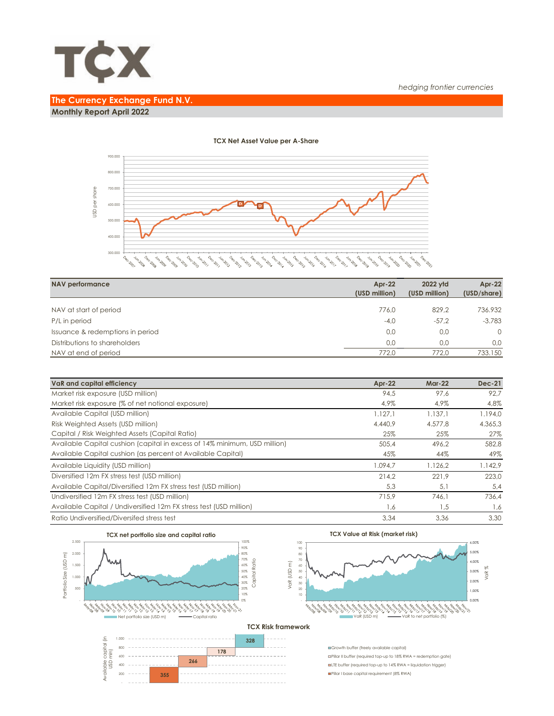

# **The Currency Exchange Fund N.V. Monthly Report April 2022**



#### **TCX Net Asset Value per A-Share**

| <b>NAV performance</b>           | $Ar-22$<br>(USD million) | 2022 vtd<br>(USD million) | Apr-22<br>(USD/share) |
|----------------------------------|--------------------------|---------------------------|-----------------------|
|                                  |                          |                           |                       |
| NAV at start of period           | 776.0                    | 829.2                     | 736.932               |
| P/L in period                    | $-4,0$                   | $-57.2$                   | $-3.783$              |
| Issuance & redemptions in period | 0.0                      | 0.0                       | $\Omega$              |
| Distributions to shareholders    | 0.0                      | 0.0                       | 0.0                   |
| NAV at end of period             | 772.0                    | 772.0                     | 733.150               |

| VaR and capital efficiency                                                | $Apr-22$ | <b>Mar-22</b> | <b>Dec-21</b> |
|---------------------------------------------------------------------------|----------|---------------|---------------|
| Market risk exposure (USD million)                                        | 94.5     | 97.6          | 92.7          |
| Market risk exposure (% of net notional exposure)                         | 4,9%     | 4.9%          | 4,8%          |
| Available Capital (USD million)                                           | 1.127.1  | 1.137.1       | 1.194.0       |
| Risk Weighted Assets (USD million)                                        | 4.440.9  | 4.577.8       | 4.365,3       |
| Capital / Risk Weighted Assets (Capital Ratio)                            | 25%      | 25%           | 27%           |
| Available Capital cushion (capital in excess of 14% minimum, USD million) | 505.4    | 496.2         | 582.8         |
| Available Capital cushion (as percent of Available Capital)               | 45%      | 44%           | 49%           |
| Available Liquidity (USD million)                                         | 1.094.7  | 1.126,2       | 1.142.9       |
| Diversified 12m FX stress test (USD million)                              | 214.2    | 221.9         | 223.0         |
| Available Capital/Diversified 12m FX stress test (USD million)            | 5,3      | 5,1           | 5,4           |
| Undiversified 12m FX stress test (USD million)                            | 715.9    | 746.1         | 736.4         |
| Available Capital / Undiversified 12m FX stress test (USD million)        | 1,6      | 1,5           | 1,6           |
| Ratio Undiversified/Diversifed stress test                                | 3.34     | 3.36          | 3.30          |